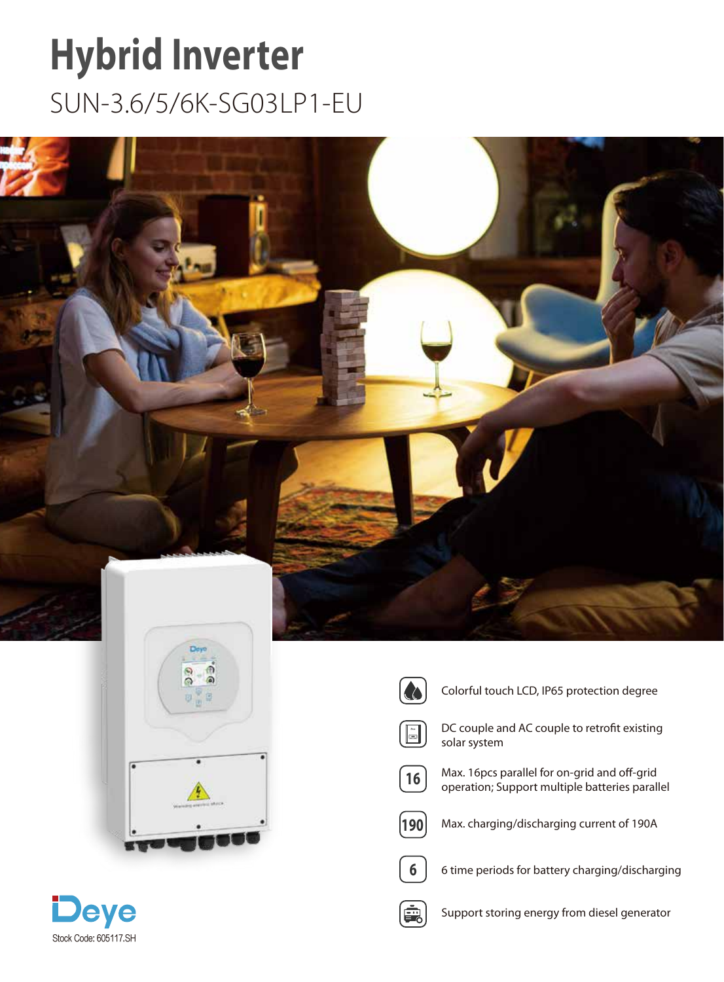## **[Hybrid Inverter](https://sp-energy.co.za/product-category/inverters/inverter-brands/deye-inverter/)**

SUN-3.6/5/6K-SG03LP1-EU





**Co** 

Colorful touch LCD, IP65 protection degree



DC couple and AC couple to retrofit existing solar system



Max. 16pcs parallel for on-grid and off-grid operation; Support multiple batteries parallel



Max. charging/discharging current of 190A



6 time periods for battery charging/discharging



Support storing energy from diesel generator